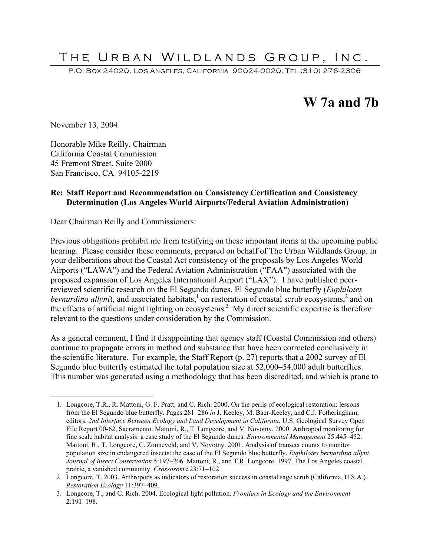# THE URBAN WILDLANDS GROUP, INC.

P.O. Box 24020, Los Angeles, California 90024-0020, Tel (310) 276-2306

# **W 7a and 7b**

November 13, 2004

Honorable Mike Reilly, Chairman California Coastal Commission 45 Fremont Street, Suite 2000 San Francisco, CA 94105-2219

#### **Re: Staff Report and Recommendation on Consistency Certification and Consistency Determination (Los Angeles World Airports/Federal Aviation Administration)**

Dear Chairman Reilly and Commissioners:

Previous obligations prohibit me from testifying on these important items at the upcoming public hearing. Please consider these comments, prepared on behalf of The Urban Wildlands Group, in your deliberations about the Coastal Act consistency of the proposals by Los Angeles World Airports ("LAWA") and the Federal Aviation Administration ("FAA") associated with the proposed expansion of Los Angeles International Airport ("LAX"). I have published peerreviewed scientific research on the El Segundo dunes, El Segundo blue butterfly (*Euphilotes bernardino allyni*), and associated habitats,<sup>1</sup> on restoration of coastal scrub ecosystems,<sup>2</sup> and on the effects of artificial night lighting on ecosystems.<sup>3</sup> My direct scientific expertise is therefore relevant to the questions under consideration by the Commission.

As a general comment, I find it disappointing that agency staff (Coastal Commission and others) continue to propagate errors in method and substance that have been corrected conclusively in the scientific literature. For example, the Staff Report (p. 27) reports that a 2002 survey of El Segundo blue butterfly estimated the total population size at 52,000–54,000 adult butterflies. This number was generated using a methodology that has been discredited, and which is prone to

 <sup>1.</sup> Longcore, T.R., R. Mattoni, G. F. Pratt, and C. Rich. 2000. On the perils of ecological restoration: lessons from the El Segundo blue butterfly. Pages 281–286 *in* J. Keeley, M. Baer-Keeley, and C.J. Fotheringham, editors. *2nd Interface Between Ecology and Land Development in California*. U.S. Geological Survey Open File Report 00-62, Sacramento. Mattoni, R., T. Longcore, and V. Novotny. 2000. Arthropod monitoring for fine scale habitat analysis: a case study of the El Segundo dunes. *Environmental Management* 25:445–452. Mattoni, R., T. Longcore, C. Zonneveld, and V. Novotny. 2001. Analysis of transect counts to monitor population size in endangered insects: the case of the El Segundo blue butterfly, *Euphilotes bernardino allyni*. *Journal of Insect Conservation* 5:197–206. Mattoni, R., and T.R. Longcore. 1997. The Los Angeles coastal prairie, a vanished community. *Crossosoma* 23:71–102.

<sup>2.</sup> Longcore, T. 2003. Arthropods as indicators of restoration success in coastal sage scrub (California, U.S.A.). *Restoration Ecology* 11:397–409.

<sup>3.</sup> Longcore, T., and C. Rich. 2004. Ecological light pollution. *Frontiers in Ecology and the Environment* 2:191–198.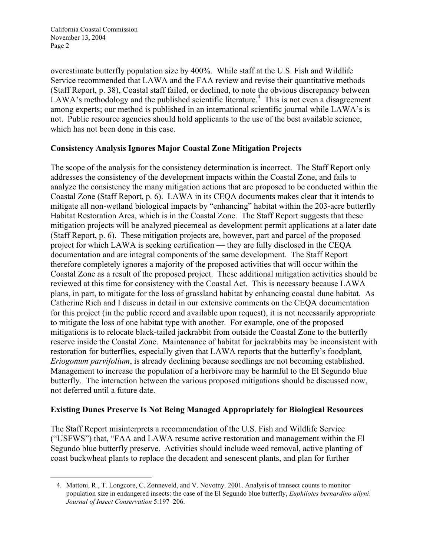overestimate butterfly population size by 400%. While staff at the U.S. Fish and Wildlife Service recommended that LAWA and the FAA review and revise their quantitative methods (Staff Report, p. 38), Coastal staff failed, or declined, to note the obvious discrepancy between LAWA's methodology and the published scientific literature.<sup>4</sup> This is not even a disagreement among experts; our method is published in an international scientific journal while LAWA's is not. Public resource agencies should hold applicants to the use of the best available science, which has not been done in this case.

### **Consistency Analysis Ignores Major Coastal Zone Mitigation Projects**

The scope of the analysis for the consistency determination is incorrect. The Staff Report only addresses the consistency of the development impacts within the Coastal Zone, and fails to analyze the consistency the many mitigation actions that are proposed to be conducted within the Coastal Zone (Staff Report, p. 6). LAWA in its CEQA documents makes clear that it intends to mitigate all non-wetland biological impacts by "enhancing" habitat within the 203-acre butterfly Habitat Restoration Area, which is in the Coastal Zone. The Staff Report suggests that these mitigation projects will be analyzed piecemeal as development permit applications at a later date (Staff Report, p. 6). These mitigation projects are, however, part and parcel of the proposed project for which LAWA is seeking certification — they are fully disclosed in the CEQA documentation and are integral components of the same development. The Staff Report therefore completely ignores a majority of the proposed activities that will occur within the Coastal Zone as a result of the proposed project. These additional mitigation activities should be reviewed at this time for consistency with the Coastal Act. This is necessary because LAWA plans, in part, to mitigate for the loss of grassland habitat by enhancing coastal dune habitat. As Catherine Rich and I discuss in detail in our extensive comments on the CEQA documentation for this project (in the public record and available upon request), it is not necessarily appropriate to mitigate the loss of one habitat type with another. For example, one of the proposed mitigations is to relocate black-tailed jackrabbit from outside the Coastal Zone to the butterfly reserve inside the Coastal Zone. Maintenance of habitat for jackrabbits may be inconsistent with restoration for butterflies, especially given that LAWA reports that the butterfly's foodplant, *Eriogonum parvifolium*, is already declining because seedlings are not becoming established. Management to increase the population of a herbivore may be harmful to the El Segundo blue butterfly. The interaction between the various proposed mitigations should be discussed now, not deferred until a future date.

### **Existing Dunes Preserve Is Not Being Managed Appropriately for Biological Resources**

The Staff Report misinterprets a recommendation of the U.S. Fish and Wildlife Service ("USFWS") that, "FAA and LAWA resume active restoration and management within the El Segundo blue butterfly preserve. Activities should include weed removal, active planting of coast buckwheat plants to replace the decadent and senescent plants, and plan for further

 <sup>4.</sup> Mattoni, R., T. Longcore, C. Zonneveld, and V. Novotny. 2001. Analysis of transect counts to monitor population size in endangered insects: the case of the El Segundo blue butterfly, *Euphilotes bernardino allyni*. *Journal of Insect Conservation* 5:197–206.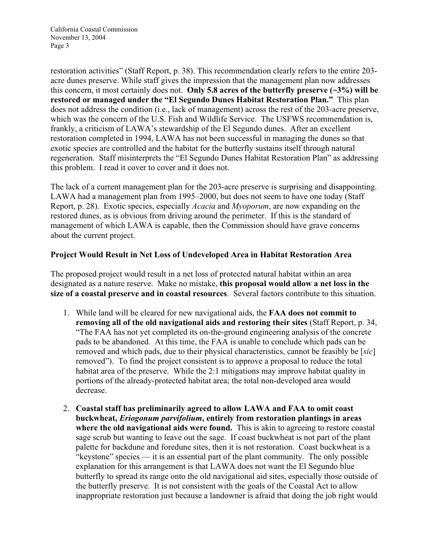California Coastal Commission November 13, 2004 Page 3

restoration activities" (Staff Report, p. 38). This recommendation clearly refers to the entire 203 acre dunes preserve. While staff gives the impression that the management plan now addresses this concern, it most certainly does not. **Only 5.8 acres of the butterfly preserve (~3%) will be restored or managed under the "El Segundo Dunes Habitat Restoration Plan."** This plan does not address the condition (i.e., lack of management) across the rest of the 203-acre preserve, which was the concern of the U.S. Fish and Wildlife Service. The USFWS recommendation is, frankly, a criticism of LAWA's stewardship of the El Segundo dunes. After an excellent restoration completed in 1994, LAWA has not been successful in managing the dunes so that exotic species are controlled and the habitat for the butterfly sustains itself through natural regeneration. Staff misinterprets the "El Segundo Dunes Habitat Restoration Plan" as addressing this problem. I read it cover to cover and it does not.

The lack of a current management plan for the 203-acre preserve is surprising and disappointing. LAWA had a management plan from 1995–2000, but does not seem to have one today (Staff Report, p. 28). Exotic species, especially *Acacia* and *Myoporum*, are now expanding on the restored dunes, as is obvious from driving around the perimeter. If this is the standard of management of which LAWA is capable, then the Commission should have grave concerns about the current project.

#### **Project Would Result in Net Loss of Undeveloped Area in Habitat Restoration Area**

The proposed project would result in a net loss of protected natural habitat within an area designated as a nature reserve. Make no mistake, **this proposal would allow a net loss in the size of a coastal preserve and in coastal resources**. Several factors contribute to this situation.

- 1. While land will be cleared for new navigational aids, the **FAA does not commit to removing all of the old navigational aids and restoring their sites** (Staff Report, p. 34, "The FAA has not yet completed its on-the-ground engineering analysis of the concrete pads to be abandoned. At this time, the FAA is unable to conclude which pads can be removed and which pads, due to their physical characteristics, cannot be feasibly be [*sic*] removed"). To find the project consistent is to approve a proposal to reduce the total habitat area of the preserve. While the 2:1 mitigations may improve habitat quality in portions of the already-protected habitat area; the total non-developed area would decrease.
- 2. **Coastal staff has preliminarily agreed to allow LAWA and FAA to omit coast buckwheat,** *Eriogonum parvifolium***, entirely from restoration plantings in areas where the old navigational aids were found.** This is akin to agreeing to restore coastal sage scrub but wanting to leave out the sage. If coast buckwheat is not part of the plant palette for backdune and foredune sites, then it is not restoration. Coast buckwheat is a "keystone" species — it is an essential part of the plant community. The only possible explanation for this arrangement is that LAWA does not want the El Segundo blue butterfly to spread its range onto the old navigational aid sites, especially those outside of the butterfly preserve. It is not consistent with the goals of the Coastal Act to allow inappropriate restoration just because a landowner is afraid that doing the job right would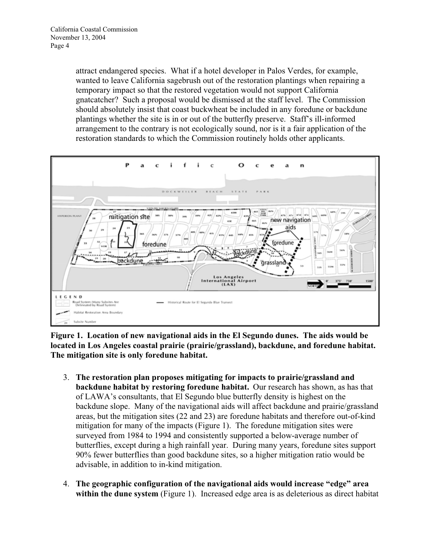attract endangered species. What if a hotel developer in Palos Verdes, for example, wanted to leave California sagebrush out of the restoration plantings when repairing a temporary impact so that the restored vegetation would not support California gnatcatcher? Such a proposal would be dismissed at the staff level. The Commission should absolutely insist that coast buckwheat be included in any foredune or backdune plantings whether the site is in or out of the butterfly preserve. Staff's ill-informed arrangement to the contrary is not ecologically sound, nor is it a fair application of the restoration standards to which the Commission routinely holds other applicants.



**Figure 1. Location of new navigational aids in the El Segundo dunes. The aids would be located in Los Angeles coastal prairie (prairie/grassland), backdune, and foredune habitat. The mitigation site is only foredune habitat.**

- 3. **The restoration plan proposes mitigating for impacts to prairie/grassland and backdune habitat by restoring foredune habitat.** Our research has shown, as has that of LAWA's consultants, that El Segundo blue butterfly density is highest on the backdune slope. Many of the navigational aids will affect backdune and prairie/grassland areas, but the mitigation sites (22 and 23) are foredune habitats and therefore out-of-kind mitigation for many of the impacts (Figure 1). The foredune mitigation sites were surveyed from 1984 to 1994 and consistently supported a below-average number of butterflies, except during a high rainfall year. During many years, foredune sites support 90% fewer butterflies than good backdune sites, so a higher mitigation ratio would be advisable, in addition to in-kind mitigation.
- 4. **The geographic configuration of the navigational aids would increase "edge" area within the dune system** (Figure 1). Increased edge area is as deleterious as direct habitat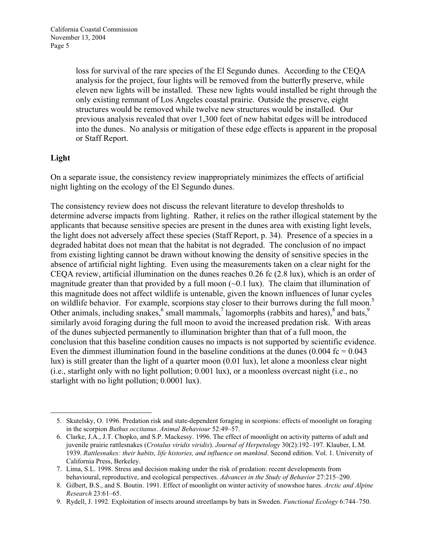loss for survival of the rare species of the El Segundo dunes. According to the CEQA analysis for the project, four lights will be removed from the butterfly preserve, while eleven new lights will be installed. These new lights would installed be right through the only existing remnant of Los Angeles coastal prairie. Outside the preserve, eight structures would be removed while twelve new structures would be installed. Our previous analysis revealed that over 1,300 feet of new habitat edges will be introduced into the dunes. No analysis or mitigation of these edge effects is apparent in the proposal or Staff Report.

## **Light**

 $\overline{a}$ 

On a separate issue, the consistency review inappropriately minimizes the effects of artificial night lighting on the ecology of the El Segundo dunes.

The consistency review does not discuss the relevant literature to develop thresholds to determine adverse impacts from lighting. Rather, it relies on the rather illogical statement by the applicants that because sensitive species are present in the dunes area with existing light levels, the light does not adversely affect these species (Staff Report, p. 34). Presence of a species in a degraded habitat does not mean that the habitat is not degraded. The conclusion of no impact from existing lighting cannot be drawn without knowing the density of sensitive species in the absence of artificial night lighting. Even using the measurements taken on a clear night for the CEQA review, artificial illumination on the dunes reaches 0.26 fc (2.8 lux), which is an order of magnitude greater than that provided by a full moon  $(\sim 0.1 \text{ lux})$ . The claim that illumination of this magnitude does not affect wildlife is untenable, given the known influences of lunar cycles on wildlife behavior. For example, scorpions stay closer to their burrows during the full moon.<sup>5</sup> Other animals, including snakes,  $6$  small mammals,  $7$  lagomorphs (rabbits and hares),  $8$  and bats,  $9$ similarly avoid foraging during the full moon to avoid the increased predation risk. With areas of the dunes subjected permanently to illumination brighter than that of a full moon, the conclusion that this baseline condition causes no impacts is not supported by scientific evidence. Even the dimmest illumination found in the baseline conditions at the dunes  $(0.004 \text{ fc} = 0.043$ lux) is still greater than the light of a quarter moon (0.01 lux), let alone a moonless clear night (i.e., starlight only with no light pollution; 0.001 lux), or a moonless overcast night (i.e., no starlight with no light pollution; 0.0001 lux).

<sup>5.</sup> Skutelsky, O. 1996. Predation risk and state-dependent foraging in scorpions: effects of moonlight on foraging in the scorpion *Buthus occitanus*. *Animal Behaviour* 52:49–57.

<sup>6.</sup> Clarke, J.A., J.T. Chopko, and S.P. Mackessy. 1996. The effect of moonlight on activity patterns of adult and juvenile prairie rattlesnakes (*Crotalus viridis viridis*). *Journal of Herpetology* 30(2):192–197. Klauber, L.M. 1939. *Rattlesnakes: their habits, life histories, and influence on mankind*. Second edition. Vol. 1. University of California Press, Berkeley.

<sup>7.</sup> Lima, S.L. 1998. Stress and decision making under the risk of predation: recent developments from behavioural, reproductive, and ecological perspectives. *Advances in the Study of Behavior* 27:215–290.

<sup>8.</sup> Gilbert, B.S., and S. Boutin. 1991. Effect of moonlight on winter activity of snowshoe hares. *Arctic and Alpine Research* 23:61–65.

<sup>9.</sup> Rydell, J. 1992. Exploitation of insects around streetlamps by bats in Sweden. *Functional Ecology* 6:744–750.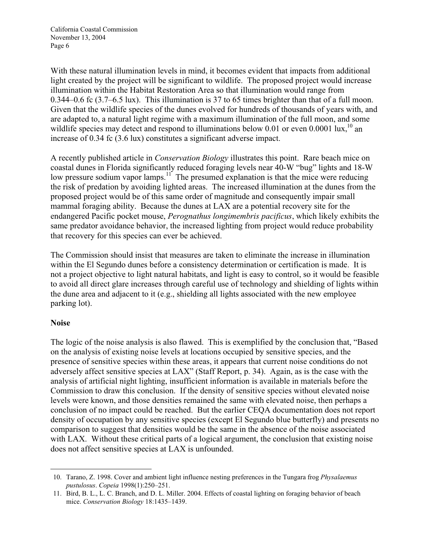With these natural illumination levels in mind, it becomes evident that impacts from additional light created by the project will be significant to wildlife. The proposed project would increase illumination within the Habitat Restoration Area so that illumination would range from 0.344–0.6 fc (3.7–6.5 lux). This illumination is 37 to 65 times brighter than that of a full moon. Given that the wildlife species of the dunes evolved for hundreds of thousands of years with, and are adapted to, a natural light regime with a maximum illumination of the full moon, and some wildlife species may detect and respond to illuminations below 0.01 or even 0.0001 lux,  $^{10}$  an increase of 0.34 fc (3.6 lux) constitutes a significant adverse impact.

A recently published article in *Conservation Biology* illustrates this point. Rare beach mice on coastal dunes in Florida significantly reduced foraging levels near 40-W "bug" lights and 18-W low pressure sodium vapor lamps.<sup>11</sup> The presumed explanation is that the mice were reducing the risk of predation by avoiding lighted areas. The increased illumination at the dunes from the proposed project would be of this same order of magnitude and consequently impair small mammal foraging ability. Because the dunes at LAX are a potential recovery site for the endangered Pacific pocket mouse, *Perognathus longimembris pacificus*, which likely exhibits the same predator avoidance behavior, the increased lighting from project would reduce probability that recovery for this species can ever be achieved.

The Commission should insist that measures are taken to eliminate the increase in illumination within the El Segundo dunes before a consistency determination or certification is made. It is not a project objective to light natural habitats, and light is easy to control, so it would be feasible to avoid all direct glare increases through careful use of technology and shielding of lights within the dune area and adjacent to it (e.g., shielding all lights associated with the new employee parking lot).

### **Noise**

The logic of the noise analysis is also flawed. This is exemplified by the conclusion that, "Based on the analysis of existing noise levels at locations occupied by sensitive species, and the presence of sensitive species within these areas, it appears that current noise conditions do not adversely affect sensitive species at LAX" (Staff Report, p. 34). Again, as is the case with the analysis of artificial night lighting, insufficient information is available in materials before the Commission to draw this conclusion. If the density of sensitive species without elevated noise levels were known, and those densities remained the same with elevated noise, then perhaps a conclusion of no impact could be reached. But the earlier CEQA documentation does not report density of occupation by any sensitive species (except El Segundo blue butterfly) and presents no comparison to suggest that densities would be the same in the absence of the noise associated with LAX. Without these critical parts of a logical argument, the conclusion that existing noise does not affect sensitive species at LAX is unfounded.

 <sup>10.</sup> Tarano, Z. 1998. Cover and ambient light influence nesting preferences in the Tungara frog *Physalaemus pustulosus*. *Copeia* 1998(1):250–251.

<sup>11.</sup> Bird, B. L., L. C. Branch, and D. L. Miller. 2004. Effects of coastal lighting on foraging behavior of beach mice. *Conservation Biology* 18:1435–1439.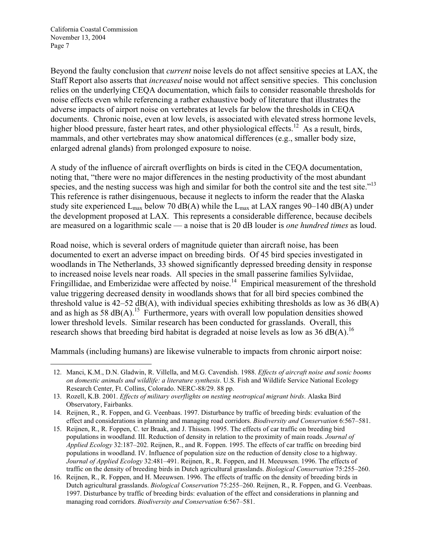California Coastal Commission November 13, 2004 Page 7

Beyond the faulty conclusion that *current* noise levels do not affect sensitive species at LAX, the Staff Report also asserts that *increased* noise would not affect sensitive species. This conclusion relies on the underlying CEQA documentation, which fails to consider reasonable thresholds for noise effects even while referencing a rather exhaustive body of literature that illustrates the adverse impacts of airport noise on vertebrates at levels far below the thresholds in CEQA documents. Chronic noise, even at low levels, is associated with elevated stress hormone levels, higher blood pressure, faster heart rates, and other physiological effects.<sup>12</sup> As a result, birds, mammals, and other vertebrates may show anatomical differences (e.g., smaller body size, enlarged adrenal glands) from prolonged exposure to noise.

A study of the influence of aircraft overflights on birds is cited in the CEQA documentation, noting that, "there were no major differences in the nesting productivity of the most abundant species, and the nesting success was high and similar for both the control site and the test site."<sup>13</sup> This reference is rather disingenuous, because it neglects to inform the reader that the Alaska study site experienced  $L_{\text{max}}$  below 70 dB(A) while the  $L_{\text{max}}$  at LAX ranges 90–140 dB(A) under the development proposed at LAX. This represents a considerable difference, because decibels are measured on a logarithmic scale — a noise that is 20 dB louder is *one hundred times* as loud.

Road noise, which is several orders of magnitude quieter than aircraft noise, has been documented to exert an adverse impact on breeding birds.Of 45 bird species investigated in woodlands in The Netherlands, 33 showed significantly depressed breeding density in response to increased noise levels near roads. All species in the small passerine families Sylviidae, Fringillidae, and Emberizidae were affected by noise.<sup>14</sup> Empirical measurement of the threshold value triggering decreased density in woodlands shows that for all bird species combined the threshold value is  $42-52$  dB(A), with individual species exhibiting thresholds as low as 36 dB(A) and as high as 58  $dB(A)$ .<sup>15</sup> Furthermore, years with overall low population densities showed lower threshold levels. Similar research has been conducted for grasslands. Overall, this research shows that breeding bird habitat is degraded at noise levels as low as 36 dB(A).<sup>16</sup>

Mammals (including humans) are likewise vulnerable to impacts from chronic airport noise:

 <sup>12.</sup> Manci, K.M., D.N. Gladwin, R. Villella, and M.G. Cavendish. 1988. *Effects of aircraft noise and sonic booms on domestic animals and wildlife: a literature synthesis*. U.S. Fish and Wildlife Service National Ecology Research Center, Ft. Collins, Colorado. NERC-88/29. 88 pp.

<sup>13.</sup> Rozell, K.B. 2001. *Effects of military overflights on nesting neotropical migrant birds*. Alaska Bird Observatory, Fairbanks.

<sup>14.</sup> Reijnen, R., R. Foppen, and G. Veenbaas. 1997. Disturbance by traffic of breeding birds: evaluation of the effect and considerations in planning and managing road corridors. *Biodiversity and Conservation* 6:567–581.

<sup>15.</sup> Reijnen, R., R. Foppen, C. ter Braak, and J. Thissen. 1995. The effects of car traffic on breeding bird populations in woodland. III. Reduction of density in relation to the proximity of main roads. *Journal of Applied Ecology* 32:187–202. Reijnen, R., and R. Foppen. 1995. The effects of car traffic on breeding bird populations in woodland. IV. Influence of population size on the reduction of density close to a highway. *Journal of Applied Ecology* 32:481–491. Reijnen, R., R. Foppen, and H. Meeuwsen. 1996. The effects of traffic on the density of breeding birds in Dutch agricultural grasslands. *Biological Conservation* 75:255–260.

<sup>16.</sup> Reijnen, R., R. Foppen, and H. Meeuwsen. 1996. The effects of traffic on the density of breeding birds in Dutch agricultural grasslands. *Biological Conservation* 75:255–260. Reijnen, R., R. Foppen, and G. Veenbaas. 1997. Disturbance by traffic of breeding birds: evaluation of the effect and considerations in planning and managing road corridors. *Biodiversity and Conservation* 6:567–581.